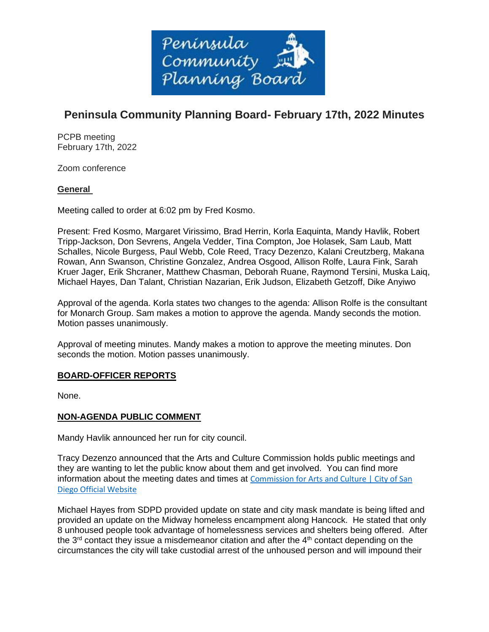

# **Peninsula Community Planning Board- February 17th, 2022 Minutes**

PCPB meeting February 17th, 2022

Zoom conference

## **General**

Meeting called to order at 6:02 pm by Fred Kosmo.

Present: Fred Kosmo, Margaret Virissimo, Brad Herrin, Korla Eaquinta, Mandy Havlik, Robert Tripp-Jackson, Don Sevrens, Angela Vedder, Tina Compton, Joe Holasek, Sam Laub, Matt Schalles, Nicole Burgess, Paul Webb, Cole Reed, Tracy Dezenzo, Kalani Creutzberg, Makana Rowan, Ann Swanson, Christine Gonzalez, Andrea Osgood, Allison Rolfe, Laura Fink, Sarah Kruer Jager, Erik Shcraner, Matthew Chasman, Deborah Ruane, Raymond Tersini, Muska Laiq, Michael Hayes, Dan Talant, Christian Nazarian, Erik Judson, Elizabeth Getzoff, Dike Anyiwo

Approval of the agenda. Korla states two changes to the agenda: Allison Rolfe is the consultant for Monarch Group. Sam makes a motion to approve the agenda. Mandy seconds the motion. Motion passes unanimously.

Approval of meeting minutes. Mandy makes a motion to approve the meeting minutes. Don seconds the motion. Motion passes unanimously.

## **BOARD-OFFICER REPORTS**

None.

## **NON-AGENDA PUBLIC COMMENT**

Mandy Havlik announced her run for city council.

Tracy Dezenzo announced that the Arts and Culture Commission holds public meetings and they are wanting to let the public know about them and get involved. You can find more information about the meeting dates and times at [Commission for Arts and Culture | City of San](https://www.sandiego.gov/arts-culture)  [Diego Official Website](https://www.sandiego.gov/arts-culture)

Michael Hayes from SDPD provided update on state and city mask mandate is being lifted and provided an update on the Midway homeless encampment along Hancock. He stated that only 8 unhoused people took advantage of homelessness services and shelters being offered. After the  $3<sup>rd</sup>$  contact they issue a misdemeanor citation and after the  $4<sup>th</sup>$  contact depending on the circumstances the city will take custodial arrest of the unhoused person and will impound their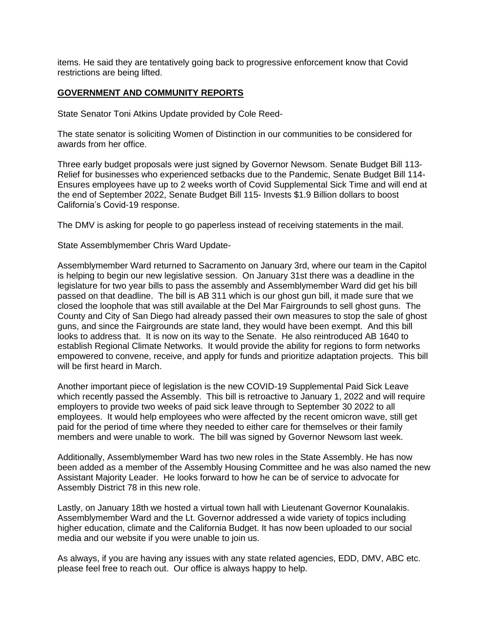items. He said they are tentatively going back to progressive enforcement know that Covid restrictions are being lifted.

## **GOVERNMENT AND COMMUNITY REPORTS**

State Senator Toni Atkins Update provided by Cole Reed-

The state senator is soliciting Women of Distinction in our communities to be considered for awards from her office.

Three early budget proposals were just signed by Governor Newsom. Senate Budget Bill 113- Relief for businesses who experienced setbacks due to the Pandemic, Senate Budget Bill 114- Ensures employees have up to 2 weeks worth of Covid Supplemental Sick Time and will end at the end of September 2022, Senate Budget Bill 115- Invests \$1.9 Billion dollars to boost California's Covid-19 response.

The DMV is asking for people to go paperless instead of receiving statements in the mail.

State Assemblymember Chris Ward Update-

Assemblymember Ward returned to Sacramento on January 3rd, where our team in the Capitol is helping to begin our new legislative session. On January 31st there was a deadline in the legislature for two year bills to pass the assembly and Assemblymember Ward did get his bill passed on that deadline. The bill is AB 311 which is our ghost gun bill, it made sure that we closed the loophole that was still available at the Del Mar Fairgrounds to sell ghost guns. The County and City of San Diego had already passed their own measures to stop the sale of ghost guns, and since the Fairgrounds are state land, they would have been exempt. And this bill looks to address that. It is now on its way to the Senate. He also reintroduced AB 1640 to establish Regional Climate Networks. It would provide the ability for regions to form networks empowered to convene, receive, and apply for funds and prioritize adaptation projects. This bill will be first heard in March.

Another important piece of legislation is the new COVID-19 Supplemental Paid Sick Leave which recently passed the Assembly. This bill is retroactive to January 1, 2022 and will require employers to provide two weeks of paid sick leave through to September 30 2022 to all employees. It would help employees who were affected by the recent omicron wave, still get paid for the period of time where they needed to either care for themselves or their family members and were unable to work. The bill was signed by Governor Newsom last week.

Additionally, Assemblymember Ward has two new roles in the State Assembly. He has now been added as a member of the Assembly Housing Committee and he was also named the new Assistant Majority Leader. He looks forward to how he can be of service to advocate for Assembly District 78 in this new role.

Lastly, on January 18th we hosted a virtual town hall with Lieutenant Governor Kounalakis. Assemblymember Ward and the Lt. Governor addressed a wide variety of topics including higher education, climate and the California Budget. It has now been uploaded to our social media and our website if you were unable to join us.

As always, if you are having any issues with any state related agencies, EDD, DMV, ABC etc. please feel free to reach out. Our office is always happy to help.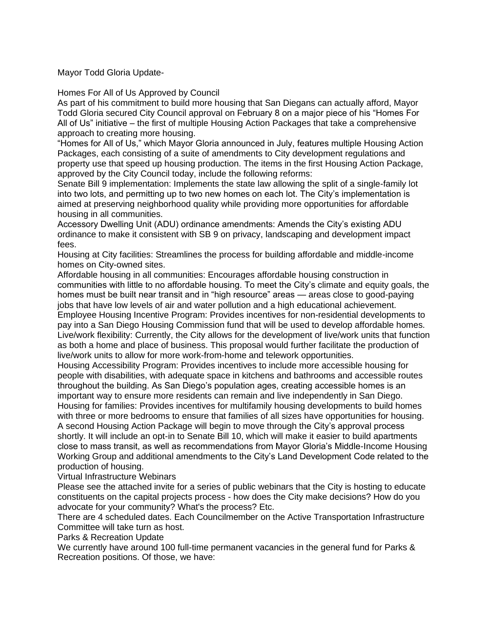Mayor Todd Gloria Update-

Homes For All of Us Approved by Council

As part of his commitment to build more housing that San Diegans can actually afford, Mayor Todd Gloria secured City Council approval on February 8 on a major piece of his "Homes For All of Us" initiative – the first of multiple Housing Action Packages that take a comprehensive approach to creating more housing.

"Homes for All of Us," which Mayor Gloria announced in July, features multiple Housing Action Packages, each consisting of a suite of amendments to City development regulations and property use that speed up housing production. The items in the first Housing Action Package, approved by the City Council today, include the following reforms:

Senate Bill 9 implementation: Implements the state law allowing the split of a single-family lot into two lots, and permitting up to two new homes on each lot. The City's implementation is aimed at preserving neighborhood quality while providing more opportunities for affordable housing in all communities.

Accessory Dwelling Unit (ADU) ordinance amendments: Amends the City's existing ADU ordinance to make it consistent with SB 9 on privacy, landscaping and development impact fees.

Housing at City facilities: Streamlines the process for building affordable and middle-income homes on City-owned sites.

Affordable housing in all communities: Encourages affordable housing construction in communities with little to no affordable housing. To meet the City's climate and equity goals, the homes must be built near transit and in "high resource" areas — areas close to good-paying jobs that have low levels of air and water pollution and a high educational achievement. Employee Housing Incentive Program: Provides incentives for non-residential developments to pay into a San Diego Housing Commission fund that will be used to develop affordable homes. Live/work flexibility: Currently, the City allows for the development of live/work units that function as both a home and place of business. This proposal would further facilitate the production of live/work units to allow for more work-from-home and telework opportunities.

Housing Accessibility Program: Provides incentives to include more accessible housing for people with disabilities, with adequate space in kitchens and bathrooms and accessible routes throughout the building. As San Diego's population ages, creating accessible homes is an important way to ensure more residents can remain and live independently in San Diego. Housing for families: Provides incentives for multifamily housing developments to build homes

with three or more bedrooms to ensure that families of all sizes have opportunities for housing. A second Housing Action Package will begin to move through the City's approval process shortly. It will include an opt-in to Senate Bill 10, which will make it easier to build apartments close to mass transit, as well as recommendations from Mayor Gloria's Middle-Income Housing Working Group and additional amendments to the City's Land Development Code related to the production of housing.

Virtual Infrastructure Webinars

Please see the attached invite for a series of public webinars that the City is hosting to educate constituents on the capital projects process - how does the City make decisions? How do you advocate for your community? What's the process? Etc.

There are 4 scheduled dates. Each Councilmember on the Active Transportation Infrastructure Committee will take turn as host.

Parks & Recreation Update

We currently have around 100 full-time permanent vacancies in the general fund for Parks & Recreation positions. Of those, we have: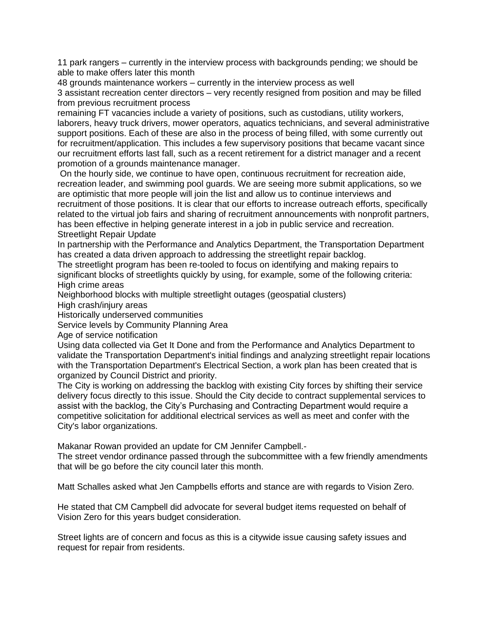11 park rangers – currently in the interview process with backgrounds pending; we should be able to make offers later this month

48 grounds maintenance workers – currently in the interview process as well 3 assistant recreation center directors – very recently resigned from position and may be filled from previous recruitment process

remaining FT vacancies include a variety of positions, such as custodians, utility workers, laborers, heavy truck drivers, mower operators, aquatics technicians, and several administrative support positions. Each of these are also in the process of being filled, with some currently out for recruitment/application. This includes a few supervisory positions that became vacant since our recruitment efforts last fall, such as a recent retirement for a district manager and a recent promotion of a grounds maintenance manager.

On the hourly side, we continue to have open, continuous recruitment for recreation aide, recreation leader, and swimming pool guards. We are seeing more submit applications, so we are optimistic that more people will join the list and allow us to continue interviews and recruitment of those positions. It is clear that our efforts to increase outreach efforts, specifically related to the virtual job fairs and sharing of recruitment announcements with nonprofit partners, has been effective in helping generate interest in a job in public service and recreation. Streetlight Repair Update

In partnership with the Performance and Analytics Department, the Transportation Department has created a data driven approach to addressing the streetlight repair backlog.

The streetlight program has been re-tooled to focus on identifying and making repairs to significant blocks of streetlights quickly by using, for example, some of the following criteria: High crime areas

Neighborhood blocks with multiple streetlight outages (geospatial clusters)

High crash/injury areas

Historically underserved communities

Service levels by Community Planning Area

Age of service notification

Using data collected via Get It Done and from the Performance and Analytics Department to validate the Transportation Department's initial findings and analyzing streetlight repair locations with the Transportation Department's Electrical Section, a work plan has been created that is organized by Council District and priority.

The City is working on addressing the backlog with existing City forces by shifting their service delivery focus directly to this issue. Should the City decide to contract supplemental services to assist with the backlog, the City's Purchasing and Contracting Department would require a competitive solicitation for additional electrical services as well as meet and confer with the City's labor organizations.

Makanar Rowan provided an update for CM Jennifer Campbell.-

The street vendor ordinance passed through the subcommittee with a few friendly amendments that will be go before the city council later this month.

Matt Schalles asked what Jen Campbells efforts and stance are with regards to Vision Zero.

He stated that CM Campbell did advocate for several budget items requested on behalf of Vision Zero for this years budget consideration.

Street lights are of concern and focus as this is a citywide issue causing safety issues and request for repair from residents.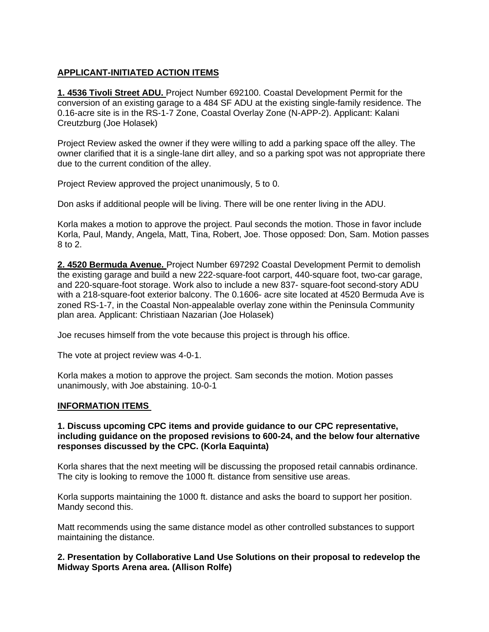# **APPLICANT-INITIATED ACTION ITEMS**

**1. 4536 Tivoli Street ADU.** Project Number 692100. Coastal Development Permit for the conversion of an existing garage to a 484 SF ADU at the existing single-family residence. The 0.16-acre site is in the RS-1-7 Zone, Coastal Overlay Zone (N-APP-2). Applicant: Kalani Creutzburg (Joe Holasek)

Project Review asked the owner if they were willing to add a parking space off the alley. The owner clarified that it is a single-lane dirt alley, and so a parking spot was not appropriate there due to the current condition of the alley.

Project Review approved the project unanimously, 5 to 0.

Don asks if additional people will be living. There will be one renter living in the ADU.

Korla makes a motion to approve the project. Paul seconds the motion. Those in favor include Korla, Paul, Mandy, Angela, Matt, Tina, Robert, Joe. Those opposed: Don, Sam. Motion passes 8 to 2.

**2. 4520 Bermuda Avenue.** Project Number 697292 Coastal Development Permit to demolish the existing garage and build a new 222-square-foot carport, 440-square foot, two-car garage, and 220-square-foot storage. Work also to include a new 837- square-foot second-story ADU with a 218-square-foot exterior balcony. The 0.1606- acre site located at 4520 Bermuda Ave is zoned RS-1-7, in the Coastal Non-appealable overlay zone within the Peninsula Community plan area. Applicant: Christiaan Nazarian (Joe Holasek)

Joe recuses himself from the vote because this project is through his office.

The vote at project review was 4-0-1.

Korla makes a motion to approve the project. Sam seconds the motion. Motion passes unanimously, with Joe abstaining. 10-0-1

## **INFORMATION ITEMS**

## **1. Discuss upcoming CPC items and provide guidance to our CPC representative, including guidance on the proposed revisions to 600-24, and the below four alternative responses discussed by the CPC. (Korla Eaquinta)**

Korla shares that the next meeting will be discussing the proposed retail cannabis ordinance. The city is looking to remove the 1000 ft. distance from sensitive use areas.

Korla supports maintaining the 1000 ft. distance and asks the board to support her position. Mandy second this.

Matt recommends using the same distance model as other controlled substances to support maintaining the distance.

## **2. Presentation by Collaborative Land Use Solutions on their proposal to redevelop the Midway Sports Arena area. (Allison Rolfe)**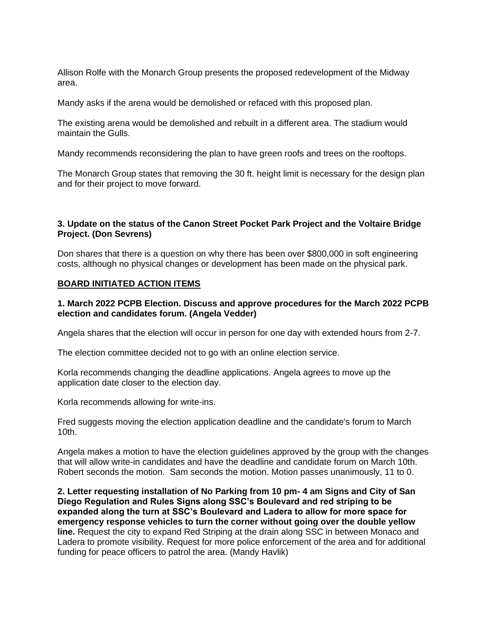Allison Rolfe with the Monarch Group presents the proposed redevelopment of the Midway area.

Mandy asks if the arena would be demolished or refaced with this proposed plan.

The existing arena would be demolished and rebuilt in a different area. The stadium would maintain the Gulls.

Mandy recommends reconsidering the plan to have green roofs and trees on the rooftops.

The Monarch Group states that removing the 30 ft. height limit is necessary for the design plan and for their project to move forward.

## **3. Update on the status of the Canon Street Pocket Park Project and the Voltaire Bridge Project. (Don Sevrens)**

Don shares that there is a question on why there has been over \$800,000 in soft engineering costs, although no physical changes or development has been made on the physical park.

## **BOARD INITIATED ACTION ITEMS**

## **1. March 2022 PCPB Election. Discuss and approve procedures for the March 2022 PCPB election and candidates forum. (Angela Vedder)**

Angela shares that the election will occur in person for one day with extended hours from 2-7.

The election committee decided not to go with an online election service.

Korla recommends changing the deadline applications. Angela agrees to move up the application date closer to the election day.

Korla recommends allowing for write-ins.

Fred suggests moving the election application deadline and the candidate's forum to March 10th.

Angela makes a motion to have the election guidelines approved by the group with the changes that will allow write-in candidates and have the deadline and candidate forum on March 10th. Robert seconds the motion. Sam seconds the motion. Motion passes unanimously, 11 to 0.

**2. Letter requesting installation of No Parking from 10 pm- 4 am Signs and City of San Diego Regulation and Rules Signs along SSC's Boulevard and red striping to be expanded along the turn at SSC's Boulevard and Ladera to allow for more space for emergency response vehicles to turn the corner without going over the double yellow line.** Request the city to expand Red Striping at the drain along SSC in between Monaco and Ladera to promote visibility. Request for more police enforcement of the area and for additional funding for peace officers to patrol the area. (Mandy Havlik)